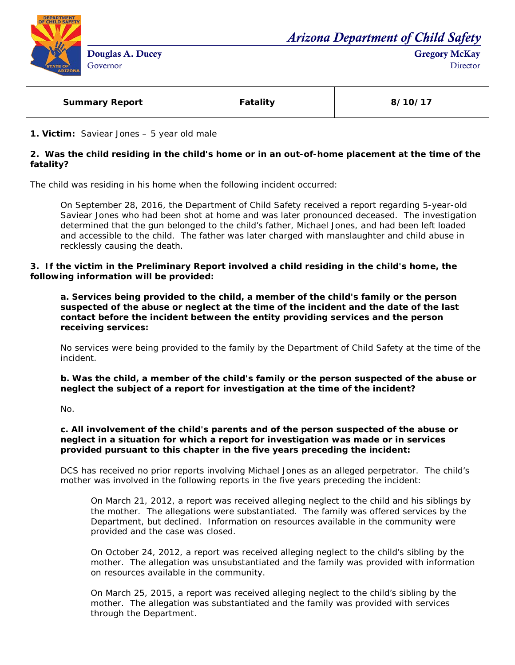

*Arizona Department of Child Safety*

Gregory McKay **Director** 

| <b>Summary Report</b> | <b>Fatality</b> | 8/10/17 |
|-----------------------|-----------------|---------|
|                       |                 |         |

**1. Victim:** Saviear Jones – 5 year old male

## **2. Was the child residing in the child's home or in an out-of-home placement at the time of the fatality?**

The child was residing in his home when the following incident occurred:

On September 28, 2016, the Department of Child Safety received a report regarding 5-year-old Saviear Jones who had been shot at home and was later pronounced deceased. The investigation determined that the gun belonged to the child's father, Michael Jones, and had been left loaded and accessible to the child. The father was later charged with manslaughter and child abuse in recklessly causing the death.

#### **3. If the victim in the Preliminary Report involved a child residing in the child's home, the following information will be provided:**

**a. Services being provided to the child, a member of the child's family or the person suspected of the abuse or neglect at the time of the incident and the date of the last contact before the incident between the entity providing services and the person receiving services:** 

No services were being provided to the family by the Department of Child Safety at the time of the incident.

**b. Was the child, a member of the child's family or the person suspected of the abuse or neglect the subject of a report for investigation at the time of the incident?**

No.

### **c. All involvement of the child's parents and of the person suspected of the abuse or neglect in a situation for which a report for investigation was made or in services provided pursuant to this chapter in the five years preceding the incident:**

DCS has received no prior reports involving Michael Jones as an alleged perpetrator. The child's mother was involved in the following reports in the five years preceding the incident:

On March 21, 2012, a report was received alleging neglect to the child and his siblings by the mother. The allegations were substantiated. The family was offered services by the Department, but declined. Information on resources available in the community were provided and the case was closed.

On October 24, 2012, a report was received alleging neglect to the child's sibling by the mother. The allegation was unsubstantiated and the family was provided with information on resources available in the community.

On March 25, 2015, a report was received alleging neglect to the child's sibling by the mother. The allegation was substantiated and the family was provided with services through the Department.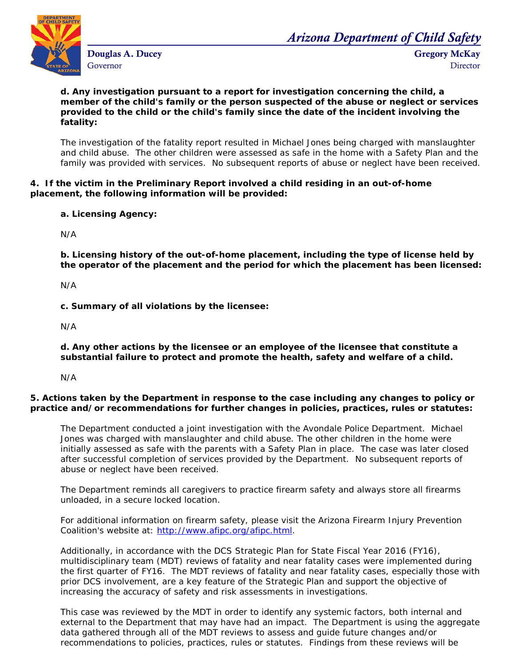

Douglas A. Ducey Governor

*Arizona Department of Child Safety*

Gregory McKay **Director** 

### **d. Any investigation pursuant to a report for investigation concerning the child, a member of the child's family or the person suspected of the abuse or neglect or services provided to the child or the child's family since the date of the incident involving the fatality:**

The investigation of the fatality report resulted in Michael Jones being charged with manslaughter and child abuse. The other children were assessed as safe in the home with a Safety Plan and the family was provided with services. No subsequent reports of abuse or neglect have been received.

## **4. If the victim in the Preliminary Report involved a child residing in an out-of-home placement, the following information will be provided:**

**a. Licensing Agency:** 

N/A

**b. Licensing history of the out-of-home placement, including the type of license held by the operator of the placement and the period for which the placement has been licensed:** 

N/A

**c. Summary of all violations by the licensee:** 

N/A

**d. Any other actions by the licensee or an employee of the licensee that constitute a substantial failure to protect and promote the health, safety and welfare of a child.**

N/A

# **5. Actions taken by the Department in response to the case including any changes to policy or practice and/or recommendations for further changes in policies, practices, rules or statutes:**

The Department conducted a joint investigation with the Avondale Police Department. Michael Jones was charged with manslaughter and child abuse. The other children in the home were initially assessed as safe with the parents with a Safety Plan in place. The case was later closed after successful completion of services provided by the Department. No subsequent reports of abuse or neglect have been received.

The Department reminds all caregivers to practice firearm safety and always store all firearms unloaded, in a secure locked location.

For additional information on firearm safety, please visit the Arizona Firearm Injury Prevention Coalition's website at: [http://www.afipc.org/afipc.html.](http://www.afipc.org/afipc.html)

Additionally, in accordance with the DCS Strategic Plan for State Fiscal Year 2016 (FY16), multidisciplinary team (MDT) reviews of fatality and near fatality cases were implemented during the first quarter of FY16. The MDT reviews of fatality and near fatality cases, especially those with prior DCS involvement, are a key feature of the Strategic Plan and support the objective of increasing the accuracy of safety and risk assessments in investigations.

This case was reviewed by the MDT in order to identify any systemic factors, both internal and external to the Department that may have had an impact. The Department is using the aggregate data gathered through all of the MDT reviews to assess and guide future changes and/or recommendations to policies, practices, rules or statutes. Findings from these reviews will be